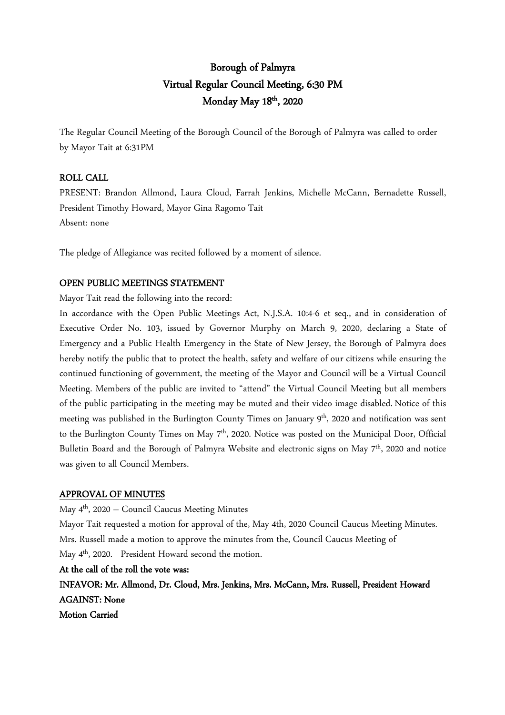# Borough of Palmyra Virtual Regular Council Meeting, 6:30 PM Monday May 18<sup>th</sup>, 2020

The Regular Council Meeting of the Borough Council of the Borough of Palmyra was called to order by Mayor Tait at 6:31PM

## ROLL CALL

PRESENT: Brandon Allmond, Laura Cloud, Farrah Jenkins, Michelle McCann, Bernadette Russell, President Timothy Howard, Mayor Gina Ragomo Tait Absent: none

The pledge of Allegiance was recited followed by a moment of silence.

## OPEN PUBLIC MEETINGS STATEMENT

Mayor Tait read the following into the record:

In accordance with the Open Public Meetings Act, N.J.S.A. 10:4-6 et seq., and in consideration of Executive Order No. 103, issued by Governor Murphy on March 9, 2020, declaring a State of Emergency and a Public Health Emergency in the State of New Jersey, the Borough of Palmyra does hereby notify the public that to protect the health, safety and welfare of our citizens while ensuring the continued functioning of government, the meeting of the Mayor and Council will be a Virtual Council Meeting. Members of the public are invited to "attend" the Virtual Council Meeting but all members of the public participating in the meeting may be muted and their video image disabled. Notice of this meeting was published in the Burlington County Times on January 9<sup>th</sup>, 2020 and notification was sent to the Burlington County Times on May 7<sup>th</sup>, 2020. Notice was posted on the Municipal Door, Official Bulletin Board and the Borough of Palmyra Website and electronic signs on May 7<sup>th</sup>, 2020 and notice was given to all Council Members.

## APPROVAL OF MINUTES

May 4th, 2020 – Council Caucus Meeting Minutes

Mayor Tait requested a motion for approval of the, May 4th, 2020 Council Caucus Meeting Minutes. Mrs. Russell made a motion to approve the minutes from the, Council Caucus Meeting of May 4th, 2020. President Howard second the motion.

At the call of the roll the vote was:

INFAVOR: Mr. Allmond, Dr. Cloud, Mrs. Jenkins, Mrs. McCann, Mrs. Russell, President Howard AGAINST: None

Motion Carried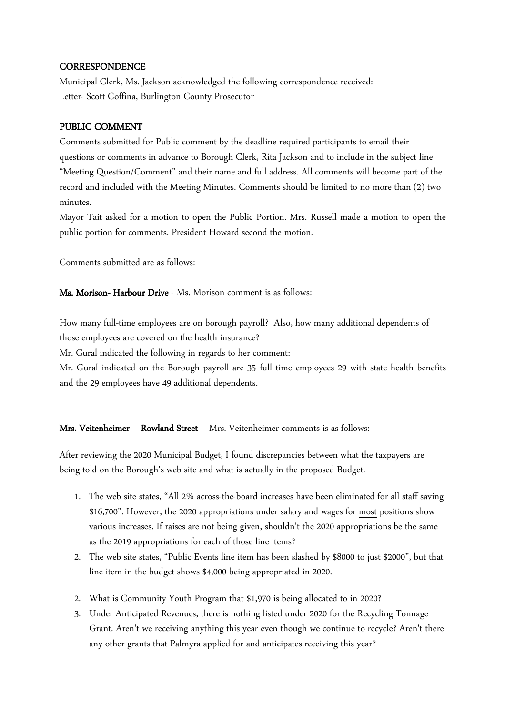## **CORRESPONDENCE**

Municipal Clerk, Ms. Jackson acknowledged the following correspondence received: Letter- Scott Coffina, Burlington County Prosecutor

## PUBLIC COMMENT

Comments submitted for Public comment by the deadline required participants to email their questions or comments in advance to Borough Clerk, Rita Jackson and to include in the subject line "Meeting Question/Comment" and their name and full address. All comments will become part of the record and included with the Meeting Minutes. Comments should be limited to no more than (2) two minutes.

Mayor Tait asked for a motion to open the Public Portion. Mrs. Russell made a motion to open the public portion for comments. President Howard second the motion.

## Comments submitted are as follows:

## Ms. Morison- Harbour Drive - Ms. Morison comment is as follows:

How many full-time employees are on borough payroll? Also, how many additional dependents of those employees are covered on the health insurance?

Mr. Gural indicated the following in regards to her comment:

Mr. Gural indicated on the Borough payroll are 35 full time employees 29 with state health benefits and the 29 employees have 49 additional dependents.

## Mrs. Veitenheimer – Rowland Street – Mrs. Veitenheimer comments is as follows:

After reviewing the 2020 Municipal Budget, I found discrepancies between what the taxpayers are being told on the Borough's web site and what is actually in the proposed Budget.

- 1. The web site states, "All 2% across-the-board increases have been eliminated for all staff saving \$16,700". However, the 2020 appropriations under salary and wages for most positions show various increases. If raises are not being given, shouldn't the 2020 appropriations be the same as the 2019 appropriations for each of those line items?
- 2. The web site states, "Public Events line item has been slashed by \$8000 to just \$2000", but that line item in the budget shows \$4,000 being appropriated in 2020.
- 2. What is Community Youth Program that \$1,970 is being allocated to in 2020?
- 3. Under Anticipated Revenues, there is nothing listed under 2020 for the Recycling Tonnage Grant. Aren't we receiving anything this year even though we continue to recycle? Aren't there any other grants that Palmyra applied for and anticipates receiving this year?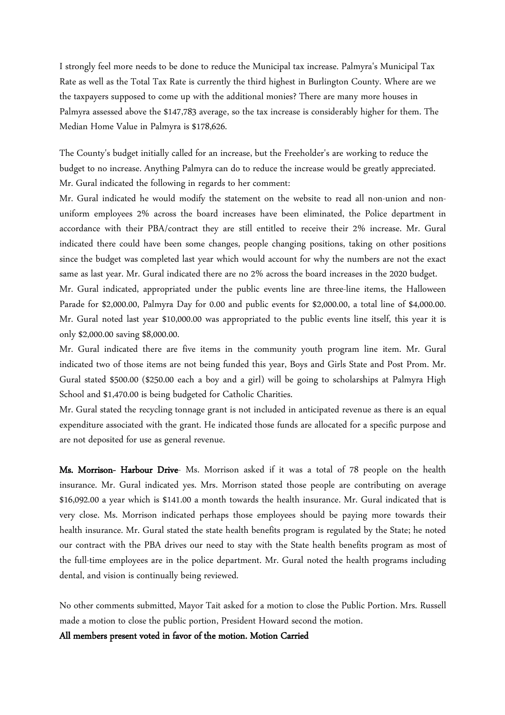I strongly feel more needs to be done to reduce the Municipal tax increase. Palmyra's Municipal Tax Rate as well as the Total Tax Rate is currently the third highest in Burlington County. Where are we the taxpayers supposed to come up with the additional monies? There are many more houses in Palmyra assessed above the \$147,783 average, so the tax increase is considerably higher for them. The Median Home Value in Palmyra is \$178,626.

The County's budget initially called for an increase, but the Freeholder's are working to reduce the budget to no increase. Anything Palmyra can do to reduce the increase would be greatly appreciated. Mr. Gural indicated the following in regards to her comment:

Mr. Gural indicated he would modify the statement on the website to read all non-union and nonuniform employees 2% across the board increases have been eliminated, the Police department in accordance with their PBA/contract they are still entitled to receive their 2% increase. Mr. Gural indicated there could have been some changes, people changing positions, taking on other positions since the budget was completed last year which would account for why the numbers are not the exact same as last year. Mr. Gural indicated there are no 2% across the board increases in the 2020 budget.

Mr. Gural indicated, appropriated under the public events line are three-line items, the Halloween Parade for \$2,000.00, Palmyra Day for 0.00 and public events for \$2,000.00, a total line of \$4,000.00. Mr. Gural noted last year \$10,000.00 was appropriated to the public events line itself, this year it is only \$2,000.00 saving \$8,000.00.

Mr. Gural indicated there are five items in the community youth program line item. Mr. Gural indicated two of those items are not being funded this year, Boys and Girls State and Post Prom. Mr. Gural stated \$500.00 (\$250.00 each a boy and a girl) will be going to scholarships at Palmyra High School and \$1,470.00 is being budgeted for Catholic Charities.

Mr. Gural stated the recycling tonnage grant is not included in anticipated revenue as there is an equal expenditure associated with the grant. He indicated those funds are allocated for a specific purpose and are not deposited for use as general revenue.

Ms. Morrison- Harbour Drive- Ms. Morrison asked if it was a total of 78 people on the health insurance. Mr. Gural indicated yes. Mrs. Morrison stated those people are contributing on average \$16,092.00 a year which is \$141.00 a month towards the health insurance. Mr. Gural indicated that is very close. Ms. Morrison indicated perhaps those employees should be paying more towards their health insurance. Mr. Gural stated the state health benefits program is regulated by the State; he noted our contract with the PBA drives our need to stay with the State health benefits program as most of the full-time employees are in the police department. Mr. Gural noted the health programs including dental, and vision is continually being reviewed.

No other comments submitted, Mayor Tait asked for a motion to close the Public Portion. Mrs. Russell made a motion to close the public portion, President Howard second the motion.

All members present voted in favor of the motion. Motion Carried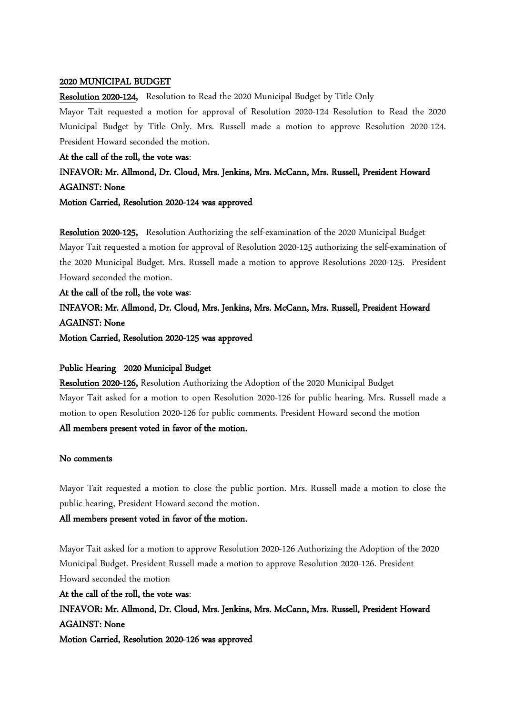## 2020 MUNICIPAL BUDGET

Resolution 2020-124, Resolution to Read the 2020 Municipal Budget by Title Only

Mayor Tait requested a motion for approval of Resolution 2020-124 Resolution to Read the 2020 Municipal Budget by Title Only. Mrs. Russell made a motion to approve Resolution 2020-124. President Howard seconded the motion.

At the call of the roll, the vote was:

INFAVOR: Mr. Allmond, Dr. Cloud, Mrs. Jenkins, Mrs. McCann, Mrs. Russell, President Howard AGAINST: None

Motion Carried, Resolution 2020-124 was approved

Resolution 2020-125, Resolution Authorizing the self-examination of the 2020 Municipal Budget Mayor Tait requested a motion for approval of Resolution 2020-125 authorizing the self-examination of the 2020 Municipal Budget. Mrs. Russell made a motion to approve Resolutions 2020-125. President Howard seconded the motion.

At the call of the roll, the vote was: INFAVOR: Mr. Allmond, Dr. Cloud, Mrs. Jenkins, Mrs. McCann, Mrs. Russell, President Howard AGAINST: None

Motion Carried, Resolution 2020-125 was approved

## Public Hearing 2020 Municipal Budget

Resolution 2020-126, Resolution Authorizing the Adoption of the 2020 Municipal Budget Mayor Tait asked for a motion to open Resolution 2020-126 for public hearing. Mrs. Russell made a motion to open Resolution 2020-126 for public comments. President Howard second the motion All members present voted in favor of the motion.

## No comments

Mayor Tait requested a motion to close the public portion. Mrs. Russell made a motion to close the public hearing, President Howard second the motion.

## All members present voted in favor of the motion.

Mayor Tait asked for a motion to approve Resolution 2020-126 Authorizing the Adoption of the 2020 Municipal Budget. President Russell made a motion to approve Resolution 2020-126. President Howard seconded the motion

At the call of the roll, the vote was: INFAVOR: Mr. Allmond, Dr. Cloud, Mrs. Jenkins, Mrs. McCann, Mrs. Russell, President Howard AGAINST: None Motion Carried, Resolution 2020-126 was approved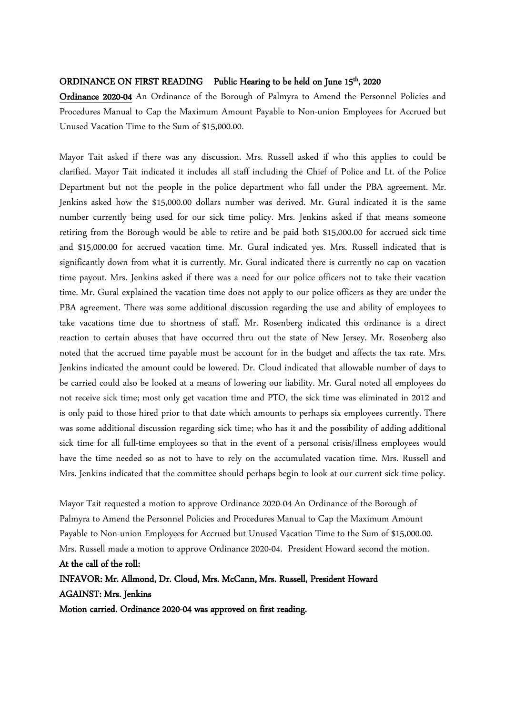## ORDINANCE ON FIRST READING Public Hearing to be held on June 15<sup>th</sup>, 2020

Ordinance 2020-04 An Ordinance of the Borough of Palmyra to Amend the Personnel Policies and Procedures Manual to Cap the Maximum Amount Payable to Non-union Employees for Accrued but Unused Vacation Time to the Sum of \$15,000.00.

Mayor Tait asked if there was any discussion. Mrs. Russell asked if who this applies to could be clarified. Mayor Tait indicated it includes all staff including the Chief of Police and Lt. of the Police Department but not the people in the police department who fall under the PBA agreement. Mr. Jenkins asked how the \$15,000.00 dollars number was derived. Mr. Gural indicated it is the same number currently being used for our sick time policy. Mrs. Jenkins asked if that means someone retiring from the Borough would be able to retire and be paid both \$15,000.00 for accrued sick time and \$15,000.00 for accrued vacation time. Mr. Gural indicated yes. Mrs. Russell indicated that is significantly down from what it is currently. Mr. Gural indicated there is currently no cap on vacation time payout. Mrs. Jenkins asked if there was a need for our police officers not to take their vacation time. Mr. Gural explained the vacation time does not apply to our police officers as they are under the PBA agreement. There was some additional discussion regarding the use and ability of employees to take vacations time due to shortness of staff. Mr. Rosenberg indicated this ordinance is a direct reaction to certain abuses that have occurred thru out the state of New Jersey. Mr. Rosenberg also noted that the accrued time payable must be account for in the budget and affects the tax rate. Mrs. Jenkins indicated the amount could be lowered. Dr. Cloud indicated that allowable number of days to be carried could also be looked at a means of lowering our liability. Mr. Gural noted all employees do not receive sick time; most only get vacation time and PTO, the sick time was eliminated in 2012 and is only paid to those hired prior to that date which amounts to perhaps six employees currently. There was some additional discussion regarding sick time; who has it and the possibility of adding additional sick time for all full-time employees so that in the event of a personal crisis/illness employees would have the time needed so as not to have to rely on the accumulated vacation time. Mrs. Russell and Mrs. Jenkins indicated that the committee should perhaps begin to look at our current sick time policy.

Mayor Tait requested a motion to approve Ordinance 2020-04 An Ordinance of the Borough of Palmyra to Amend the Personnel Policies and Procedures Manual to Cap the Maximum Amount Payable to Non-union Employees for Accrued but Unused Vacation Time to the Sum of \$15,000.00. Mrs. Russell made a motion to approve Ordinance 2020-04. President Howard second the motion. At the call of the roll:

INFAVOR: Mr. Allmond, Dr. Cloud, Mrs. McCann, Mrs. Russell, President Howard AGAINST: Mrs. Jenkins Motion carried. Ordinance 2020-04 was approved on first reading.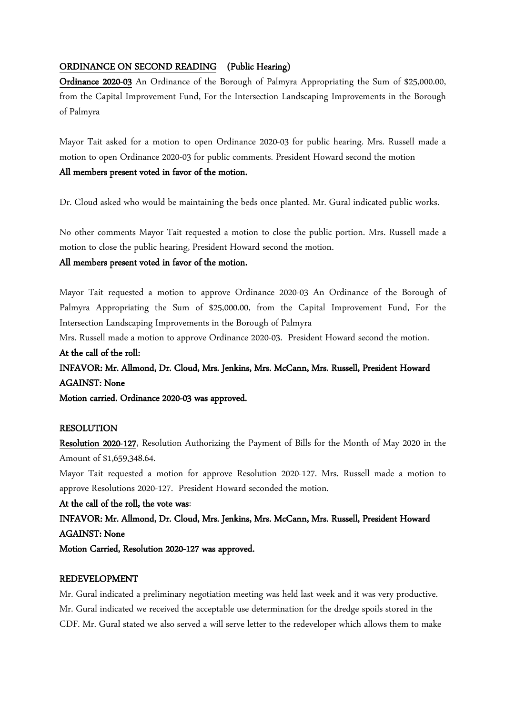## ORDINANCE ON SECOND READING (Public Hearing)

Ordinance 2020-03 An Ordinance of the Borough of Palmyra Appropriating the Sum of \$25,000.00, from the Capital Improvement Fund, For the Intersection Landscaping Improvements in the Borough of Palmyra

Mayor Tait asked for a motion to open Ordinance 2020-03 for public hearing. Mrs. Russell made a motion to open Ordinance 2020-03 for public comments. President Howard second the motion All members present voted in favor of the motion.

Dr. Cloud asked who would be maintaining the beds once planted. Mr. Gural indicated public works.

No other comments Mayor Tait requested a motion to close the public portion. Mrs. Russell made a motion to close the public hearing, President Howard second the motion.

## All members present voted in favor of the motion.

Mayor Tait requested a motion to approve Ordinance 2020-03 An Ordinance of the Borough of Palmyra Appropriating the Sum of \$25,000.00, from the Capital Improvement Fund, For the Intersection Landscaping Improvements in the Borough of Palmyra

Mrs. Russell made a motion to approve Ordinance 2020-03. President Howard second the motion. At the call of the roll:

## INFAVOR: Mr. Allmond, Dr. Cloud, Mrs. Jenkins, Mrs. McCann, Mrs. Russell, President Howard AGAINST: None

Motion carried. Ordinance 2020-03 was approved.

## RESOLUTION

Resolution 2020-127, Resolution Authorizing the Payment of Bills for the Month of May 2020 in the Amount of \$1,659,348.64.

Mayor Tait requested a motion for approve Resolution 2020-127. Mrs. Russell made a motion to approve Resolutions 2020-127. President Howard seconded the motion.

At the call of the roll, the vote was:

INFAVOR: Mr. Allmond, Dr. Cloud, Mrs. Jenkins, Mrs. McCann, Mrs. Russell, President Howard AGAINST: None

Motion Carried, Resolution 2020-127 was approved.

## REDEVELOPMENT

Mr. Gural indicated a preliminary negotiation meeting was held last week and it was very productive. Mr. Gural indicated we received the acceptable use determination for the dredge spoils stored in the CDF. Mr. Gural stated we also served a will serve letter to the redeveloper which allows them to make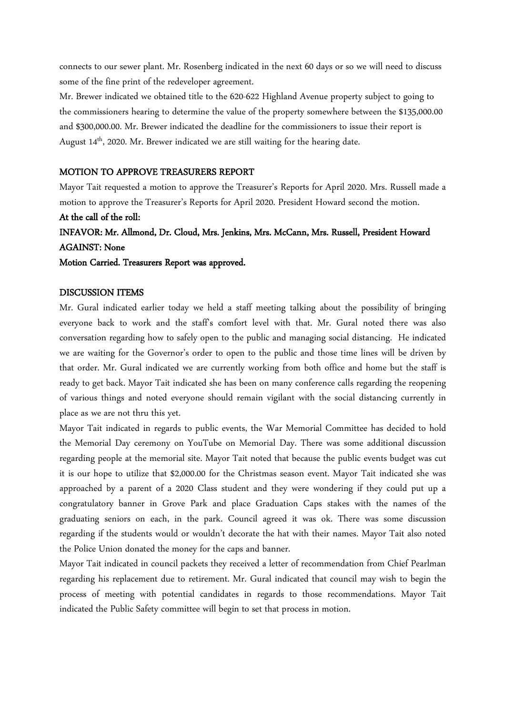connects to our sewer plant. Mr. Rosenberg indicated in the next 60 days or so we will need to discuss some of the fine print of the redeveloper agreement.

Mr. Brewer indicated we obtained title to the 620-622 Highland Avenue property subject to going to the commissioners hearing to determine the value of the property somewhere between the \$135,000.00 and \$300,000.00. Mr. Brewer indicated the deadline for the commissioners to issue their report is August  $14<sup>th</sup>$ , 2020. Mr. Brewer indicated we are still waiting for the hearing date.

## MOTION TO APPROVE TREASURERS REPORT

Mayor Tait requested a motion to approve the Treasurer's Reports for April 2020. Mrs. Russell made a motion to approve the Treasurer's Reports for April 2020. President Howard second the motion.

## At the call of the roll:

## INFAVOR: Mr. Allmond, Dr. Cloud, Mrs. Jenkins, Mrs. McCann, Mrs. Russell, President Howard AGAINST: None

Motion Carried. Treasurers Report was approved.

## DISCUSSION ITEMS

Mr. Gural indicated earlier today we held a staff meeting talking about the possibility of bringing everyone back to work and the staff's comfort level with that. Mr. Gural noted there was also conversation regarding how to safely open to the public and managing social distancing. He indicated we are waiting for the Governor's order to open to the public and those time lines will be driven by that order. Mr. Gural indicated we are currently working from both office and home but the staff is ready to get back. Mayor Tait indicated she has been on many conference calls regarding the reopening of various things and noted everyone should remain vigilant with the social distancing currently in place as we are not thru this yet.

Mayor Tait indicated in regards to public events, the War Memorial Committee has decided to hold the Memorial Day ceremony on YouTube on Memorial Day. There was some additional discussion regarding people at the memorial site. Mayor Tait noted that because the public events budget was cut it is our hope to utilize that \$2,000.00 for the Christmas season event. Mayor Tait indicated she was approached by a parent of a 2020 Class student and they were wondering if they could put up a congratulatory banner in Grove Park and place Graduation Caps stakes with the names of the graduating seniors on each, in the park. Council agreed it was ok. There was some discussion regarding if the students would or wouldn't decorate the hat with their names. Mayor Tait also noted the Police Union donated the money for the caps and banner.

Mayor Tait indicated in council packets they received a letter of recommendation from Chief Pearlman regarding his replacement due to retirement. Mr. Gural indicated that council may wish to begin the process of meeting with potential candidates in regards to those recommendations. Mayor Tait indicated the Public Safety committee will begin to set that process in motion.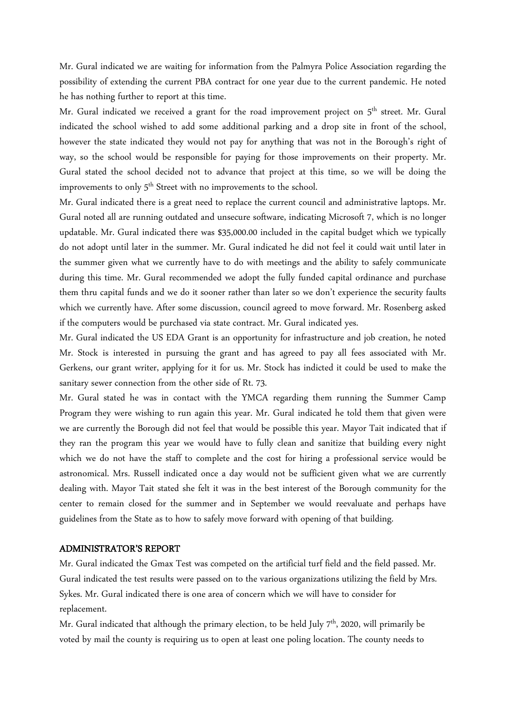Mr. Gural indicated we are waiting for information from the Palmyra Police Association regarding the possibility of extending the current PBA contract for one year due to the current pandemic. He noted he has nothing further to report at this time.

Mr. Gural indicated we received a grant for the road improvement project on 5<sup>th</sup> street. Mr. Gural indicated the school wished to add some additional parking and a drop site in front of the school, however the state indicated they would not pay for anything that was not in the Borough's right of way, so the school would be responsible for paying for those improvements on their property. Mr. Gural stated the school decided not to advance that project at this time, so we will be doing the improvements to only 5<sup>th</sup> Street with no improvements to the school.

Mr. Gural indicated there is a great need to replace the current council and administrative laptops. Mr. Gural noted all are running outdated and unsecure software, indicating Microsoft 7, which is no longer updatable. Mr. Gural indicated there was \$35,000.00 included in the capital budget which we typically do not adopt until later in the summer. Mr. Gural indicated he did not feel it could wait until later in the summer given what we currently have to do with meetings and the ability to safely communicate during this time. Mr. Gural recommended we adopt the fully funded capital ordinance and purchase them thru capital funds and we do it sooner rather than later so we don't experience the security faults which we currently have. After some discussion, council agreed to move forward. Mr. Rosenberg asked if the computers would be purchased via state contract. Mr. Gural indicated yes.

Mr. Gural indicated the US EDA Grant is an opportunity for infrastructure and job creation, he noted Mr. Stock is interested in pursuing the grant and has agreed to pay all fees associated with Mr. Gerkens, our grant writer, applying for it for us. Mr. Stock has indicted it could be used to make the sanitary sewer connection from the other side of Rt. 73.

Mr. Gural stated he was in contact with the YMCA regarding them running the Summer Camp Program they were wishing to run again this year. Mr. Gural indicated he told them that given were we are currently the Borough did not feel that would be possible this year. Mayor Tait indicated that if they ran the program this year we would have to fully clean and sanitize that building every night which we do not have the staff to complete and the cost for hiring a professional service would be astronomical. Mrs. Russell indicated once a day would not be sufficient given what we are currently dealing with. Mayor Tait stated she felt it was in the best interest of the Borough community for the center to remain closed for the summer and in September we would reevaluate and perhaps have guidelines from the State as to how to safely move forward with opening of that building.

## ADMINISTRATOR'S REPORT

Mr. Gural indicated the Gmax Test was competed on the artificial turf field and the field passed. Mr. Gural indicated the test results were passed on to the various organizations utilizing the field by Mrs. Sykes. Mr. Gural indicated there is one area of concern which we will have to consider for replacement.

Mr. Gural indicated that although the primary election, to be held July  $7<sup>th</sup>$ , 2020, will primarily be voted by mail the county is requiring us to open at least one poling location. The county needs to